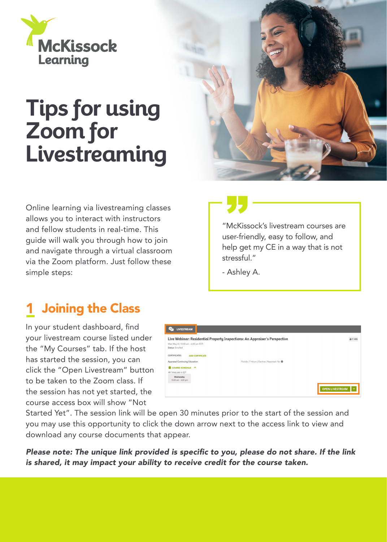

# **Tips for using Zoom for Livestreaming**

Online learning via livestreaming classes allows you to interact with instructors and fellow students in real-time. This guide will walk you through how to join and navigate through a virtual classroom via the Zoom platform. Just follow these simple steps:



"McKissock's livestream courses are user-friendly, easy to follow, and help get my CE in a way that is not stressful."

- Ashley A.

### **1** Joining the Class

In your student dashboard, find your livestream course listed under the "My Courses" tab. If the host has started the session, you can click the "Open Livestream" button to be taken to the Zoom class. If the session has not yet started, the course access box will show "Not

| <b>LIVESTREAM</b><br>$\cdots$                          |                                                                            |                   |
|--------------------------------------------------------|----------------------------------------------------------------------------|-------------------|
| Wed May 4   10:00 am - 6:00 pm EDT<br>Status: Enrolled | Live Webinar: Residential Property Inspections: An Appraiser's Perspective | & 7 HRS           |
| CERTIFICATES<br><b>ADD CERTIFICATE</b>                 |                                                                            |                   |
| Appraisal Continuing Education                         | Florida   7 Hours   Elective   Reported: No @                              |                   |
| COURSE SCHEDULE A                                      |                                                                            |                   |
| All Times are in EDT                                   |                                                                            |                   |
| Wednesday<br>10:00 am - 6:00 pm                        |                                                                            |                   |
|                                                        |                                                                            | OPEN LIVESTREAM V |

Started Yet". The session link will be open 30 minutes prior to the start of the session and you may use this opportunity to click the down arrow next to the access link to view and download any course documents that appear.

Please note: The unique link provided is specific to you, please do not share. If the link is shared, it may impact your ability to receive credit for the course taken.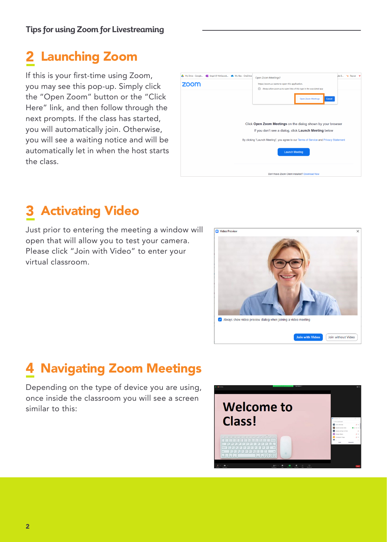#### Launching Zoom <u>2</u>

If this is your first-time using Zoom, you may see this pop-up. Simply click the "Open Zoom" button or the "Click Here" link, and then follow through the next prompts. If the class has started, you will automatically join. Otherwise, you will see a waiting notice and will be automatically let in when the host starts the class.

| My Drive - Google D Angel @ McKissock A My files - OneDrive<br>zoom                                                                                                                                            | Open Zoom Meetings?<br>https://zoom.us wants to open this application.<br>Always allow zoom.us to open links of this type in the associated app<br><b>Open Zoom Meetings</b><br>Cancel |  | ille B > Paycon | w |  |  |
|----------------------------------------------------------------------------------------------------------------------------------------------------------------------------------------------------------------|----------------------------------------------------------------------------------------------------------------------------------------------------------------------------------------|--|-----------------|---|--|--|
| Click Open Zoom Meetings on the dialog shown by your browser<br>If you don't see a dialog, click Launch Meeting below<br>By clicking "Launch Meeting", you agree to our Terms of Service and Privacy Statement |                                                                                                                                                                                        |  |                 |   |  |  |
|                                                                                                                                                                                                                | <b>Launch Meeting</b><br>Don't have Zoom Client Installed? Download Now                                                                                                                |  |                 |   |  |  |

#### Activating Video <u>3</u>

Just prior to entering the meeting a window will open that will allow you to test your camera. Please click "Join with Video" to enter your virtual classroom.



#### Navigating Zoom Meetings 4

Depending on the type of device you are using, once inside the classroom you will see a screen similar to this:

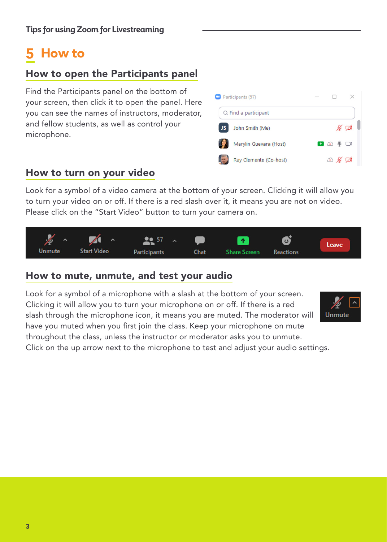#### How to 5

### How to open the Participants panel

Find the Participants panel on the bottom of your screen, then click it to open the panel. Here you can see the names of instructors, moderator, and fellow students, as well as control your microphone.



#### How to turn on your video

Look for a symbol of a video camera at the bottom of your screen. Clicking it will allow you to turn your video on or off. If there is a red slash over it, it means you are not on video. Please click on the "Start Video" button to turn your camera on.



#### How to mute, unmute, and test your audio

Look for a symbol of a microphone with a slash at the bottom of your screen. Clicking it will allow you to turn your microphone on or off. If there is a red slash through the microphone icon, it means you are muted. The moderator will have you muted when you first join the class. Keep your microphone on mute throughout the class, unless the instructor or moderator asks you to unmute.



Click on the up arrow next to the microphone to test and adjust your audio settings.